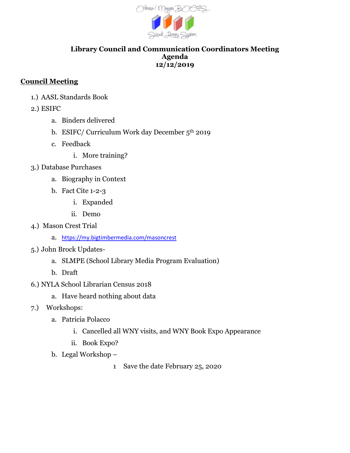

#### **Library Council and Communication Coordinators Meeting Agenda 12/12/2019**

## **Council Meeting**

- 1.) AASL Standards Book
- 2.) ESIFC
	- a. Binders delivered
	- b. ESIFC/ Curriculum Work day December 5th 2019
	- c. Feedback
		- i. More training?
- 3.) Database Purchases
	- a. Biography in Context
	- b. Fact Cite 1-2-3
		- i. Expanded
		- ii. Demo
- 4.) Mason Crest Trial
	- a. <https://my.bigtimbermedia.com/masoncrest>
- 5.) John Brock Updates
	- a. SLMPE (School Library Media Program Evaluation)
	- b. Draft
- 6.) NYLA School Librarian Census 2018
	- a. Have heard nothing about data
- 7.) Workshops:
	- a. Patricia Polacco
		- i. Cancelled all WNY visits, and WNY Book Expo Appearance
		- ii. Book Expo?
	- b. Legal Workshop
		- 1 Save the date February 25, 2020